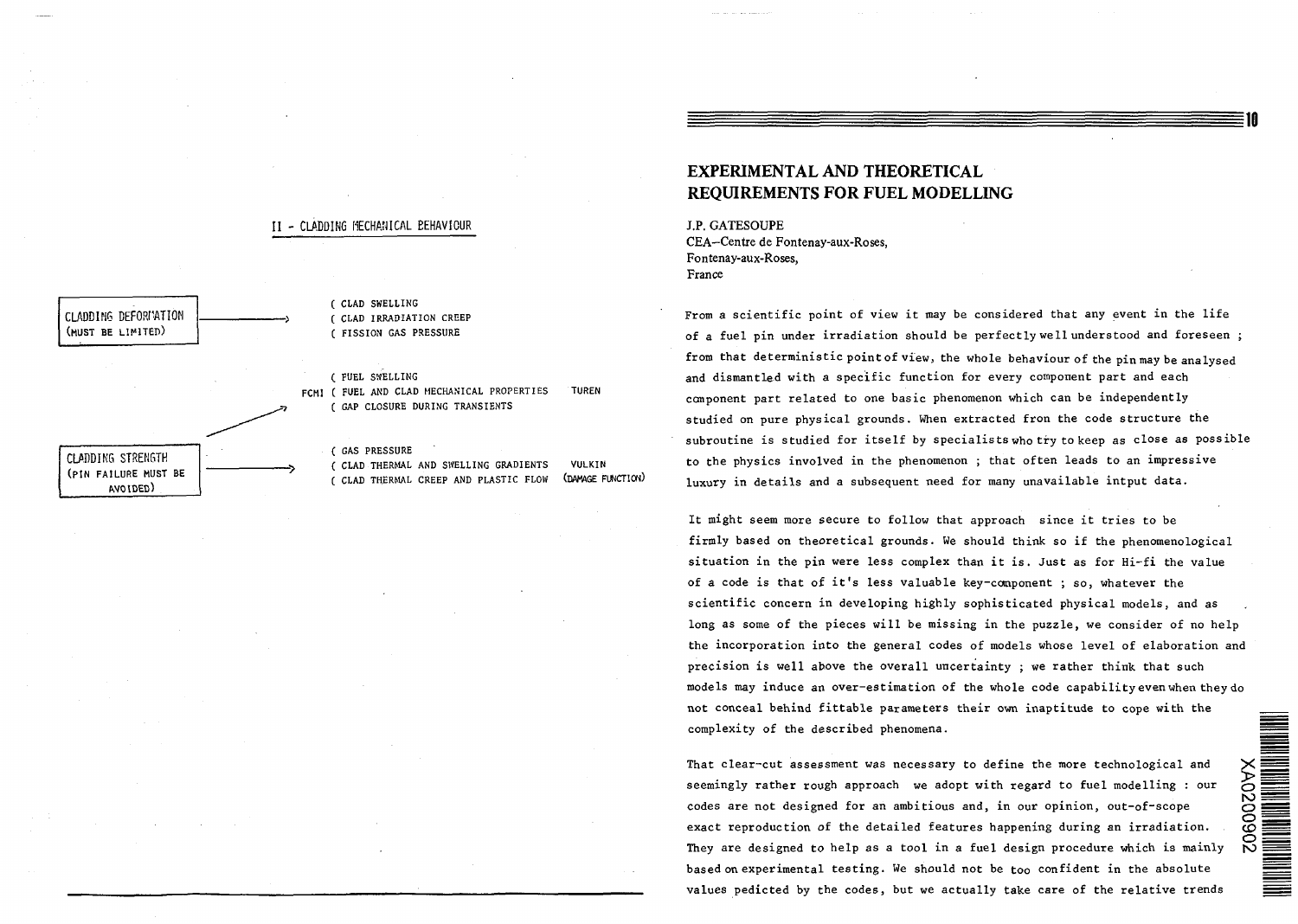# **II - CLADDING MECHANICAL BEHAVIOUR**



FCMI ( FUEL AND CLAD MECHANICAL PROPERTIES TUREN

( CLAD THERMAL AND SWELLING GRADIENTS VULKIN ( CLAD THERMAL CREEP AND PLASTIC FLOW (DAMAGE FUNCTION)

# EXPERIMENTAL AND THEORETICAL REQUIREMENTS FOR FUEL MODELLING

J.P. GATESOUPE CEA—Centre de Fontenay-aux-Roses, Fontenay-aux-Roses, France

From a scientific point of view it may be considered that any event in the life of a fuel pin under irradiation should be perfectly well understood and foreseen ; from that deterministic point of view, the whole behaviour of the pin may be analysed and dismantled with a specific function for every component part and each component part related to one basic phenomenon which can be independently studied on pure physical grounds. When extracted fron the code structure the subroutine is studied for itself by specialists who try to keep as close as possible to the physics involved in the phenomenon ; that often leads to an impressive luxury in details and a subsequent need for many unavailable intput data.

It might seem more secure to follow that approach since it tries to be firmly based on theoretical grounds. We should think so if the phenomenological situation in the pin were less complex than it is. Just as for Hi-fi the value of a code is that of it's less valuable key-component ; so, whatever the scientific concern in developing highly sophisticated physical models, and as long as some of the pieces will be missing in the puzzle, we consider of no help the incorporation into the general codes of models whose level of elaboration and precision is well above the overall uncertainty ; we rather think that such models may induce an over-estimation of the whole code capability even when they do not conceal behind fittable parameters their own inaptitude to cope with the complexity of the described phenomena.

That clear-cut assessment was necessary to define the more technological and seemingly rather rough approach we adopt with regard to fuel modelling : our codes are not designed for an ambitious and, in our opinion, out-of-scope exact reproduction of the detailed features happening during an irradiation. They are designed to help as a tool in a fuel design procedure which is mainly based on experimental testing. We should not be too confident in the absolute values pedicted by the codes, but we actually take care of the relative trends

i<br>DO 20<br>Do :

 $\breve{\mathbb{S}}$   $\bar{\mathbb{B}}$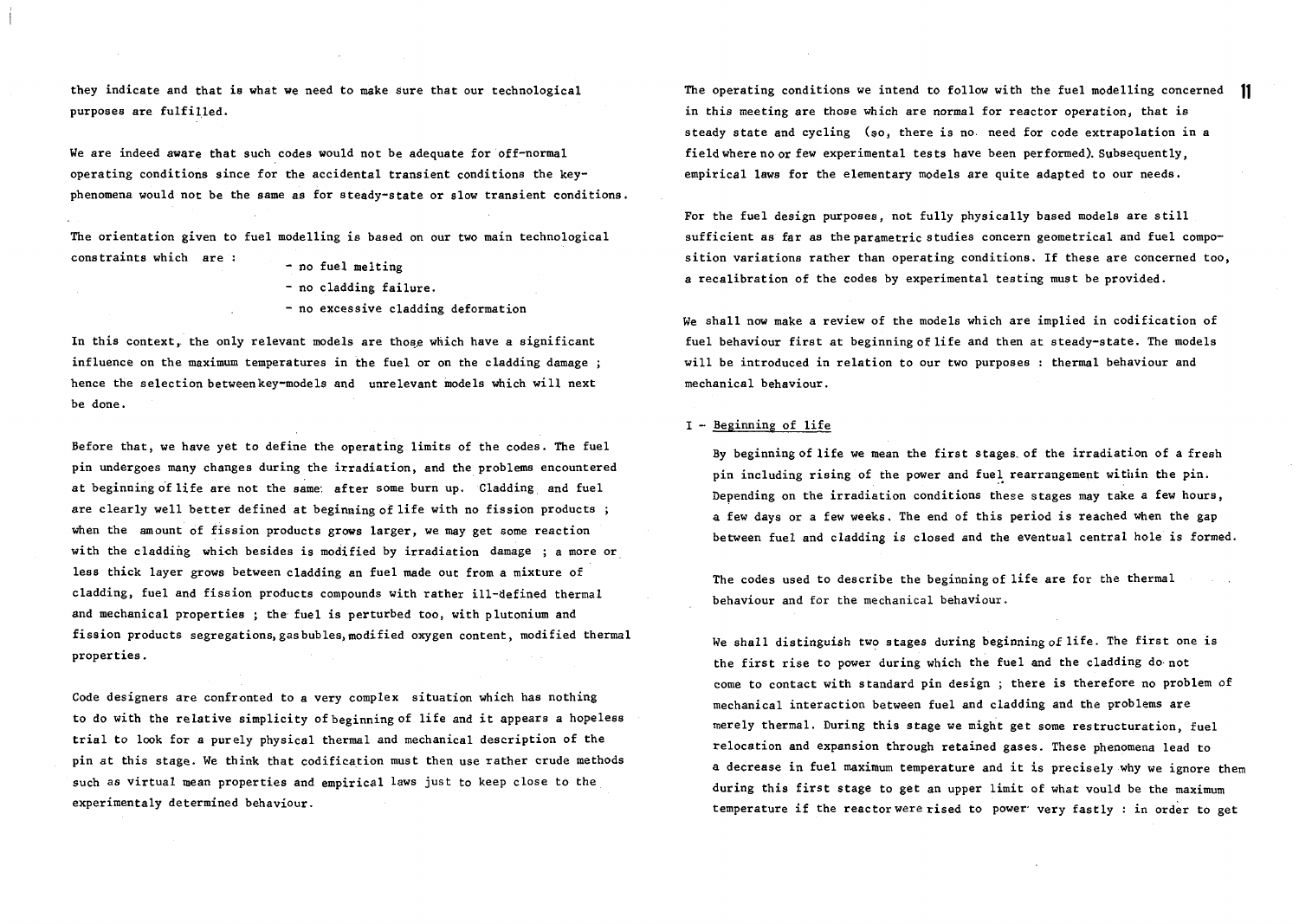they indicate and that is what we need to make sure that our technological purposes are fulfilled.

We are indeed aware that such codes would not be adequate for off-normal operating conditions since for the accidental transient conditions the keyphenomena would not be the same as for steady-state or slow transient conditions.

The orientation given to fuel modelling is based on our two main technological constraints which are :

- no fuel melting - no cladding failure.
- no excessive cladding deformation

In this context, the only relevant models are those which have a significant influence on the maximum temperatures in the fuel or on the cladding damage ; hence the selection betweenkey-models and unrelevant models which will next be done.

Before that, we have yet to define the operating limits of the codes. The fuel pin undergoes many changes during the irradiation, and the problems encountered at beginning of life are not the same: after some burn up. Cladding and fuel are clearly well better defined at beginning of life with no fission products ; when the amount of fission products grows larger, we may get some reaction with the cladding which besides is modified by irradiation damage ; a more or less thick layer grows between cladding an fuel made out from a mixture of cladding, fuel and fission products compounds with rather ill-defined thermal and mechanical properties ; the fuel is perturbed too, with plutonium and fission products segregations, gas bubles, modified oxygen content, modified thermal properties.

Code designers are confronted to a very complex situation which has nothing to do with the relative simplicity of beginning of life and it appears a hopeless trial to look for a purely physical thermal and mechanical description of the pin at this stage. We think that codification must then use rather crude methods such as virtual mean properties and empirical laws just to keep close to the experimentaly determined behaviour.

The operating conditions we intend to follow with the fuel modelling concerned  $\,\,$  11 in this meeting are those which are normal for reactor operation, that is steady state and cycling (so, there is no need for code extrapolation in a field where no or few experimental tests have been performed). Subsequently, empirical laws for the elementary models are quite adapted to our needs.

For the fuel design purposes, not fully physically based models are still sufficient as far as the parametric studies concern geometrical and fuel composition variations rather than operating conditions. If these are concerned too, a recalibration of the codes by experimental testing must be provided.

We shall now make a review of the models which are implied in codification of fuel behaviour first at beginning of life and then at steady-state. The models will be introduced in relation to our two purposes : thermal behaviour and mechanical behaviour.

#### I - Beginning of life

By beginning of life we mean the first stages, of the irradiation of a fresh pin including rising of the power and fuel rearrangement within the pin. Depending on the irradiation conditions these stages may take a few hours, a few days or a few weeks. The end of this period is reached when the gap between fuel and cladding is closed and the eventual central hole is formed.

The codes used to describe the beginning of life are for the thermal behaviour and for the mechanical behaviour.

We shall distinguish two stages during beginning of life. The first one is the first rise to power during which the fuel and the cladding do not come to contact with standard pin design ; there is therefore no problem of mechanical interaction between fuel and cladding and the problems are merely thermal. During this stage we might get some restructuration, fuel relocation and expansion through retained gases. These phenomena lead to a decrease in fuel maximum temperature and it is precisely why we ignore them during this first stage to get an upper limit of what vould be the maximum temperature if the reactor were rised to power- very fastly : in order to get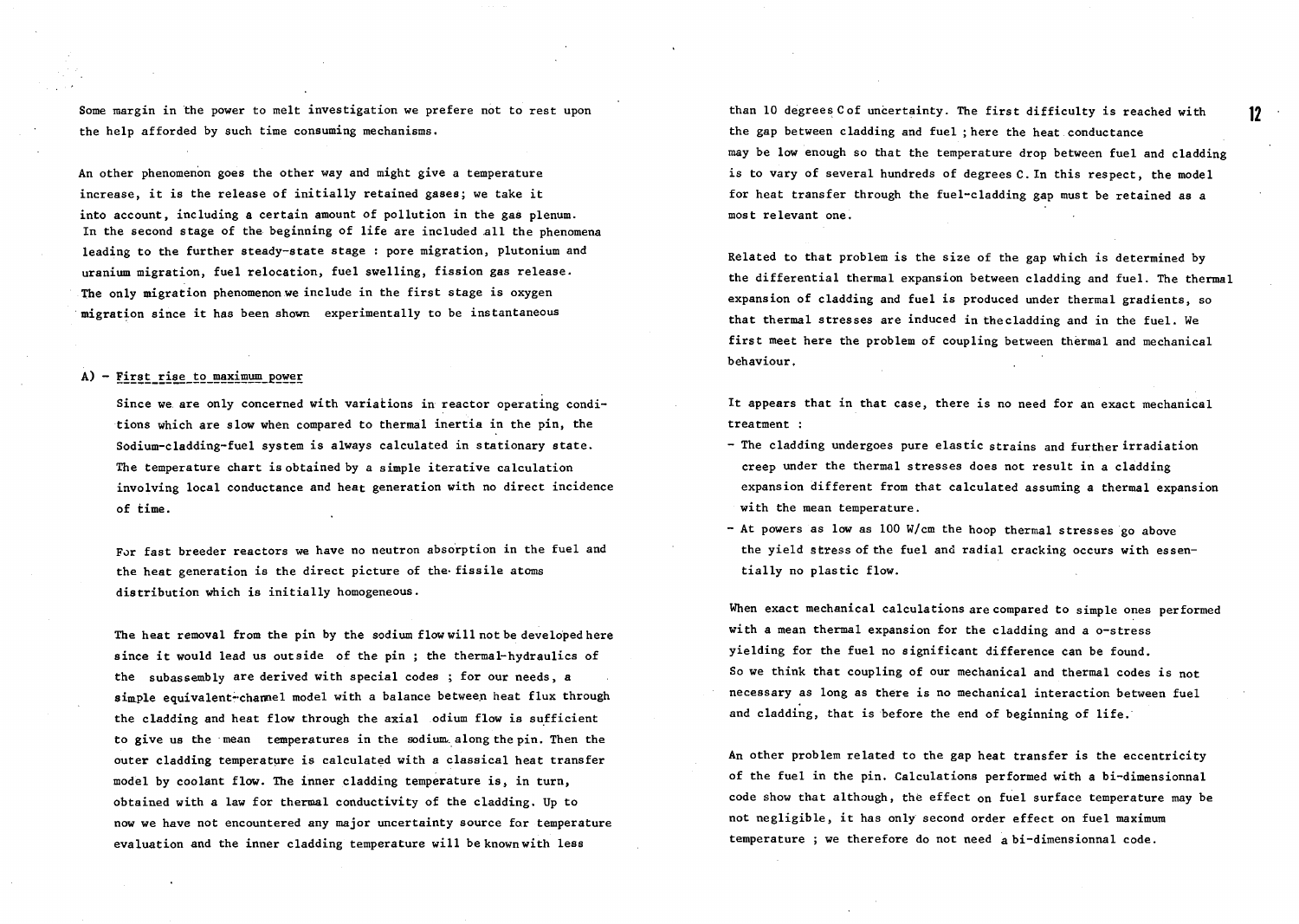Some margin in the power to melt investigation we prefere not to rest upon the help afforded by such time consuming mechanisms.

An other phenomenon goes the other way and might give a temperature increase, it is the release of initially retained gases; we take it into account, including a certain amount of pollution in the gas plenum. In the second stage of the beginning of life are included all the phenomena leading to the further steady-state stage : pore migration, Plutonium and uranium migration, fuel relocation, fuel swelling, fission gas release. The only migration phenomenon we include in the first stage is oxygen migration since it has been shown experimentally to be instantaneous

## $A$ ) - First rise to maximum power

Since we are only concerned with variations in reactor operating conditions which are slow when compared to thermal inertia in the pin, the Sodium-cladding-fuel system is always calculated in stationary state. The temperature chart is obtained by a simple iterative calculation involving local conductance and heat generation with no direct incidence of time.

For fast breeder reactors we have no neutron absorption in the fuel and the heat generation is the direct picture of the- fissile atoms distribution which is initially homogeneous.

The heat removal from the pin by the sodium flow will not be developed here since it would lead us outside of the pin ; the thermal-hydraulics of the subassembly are derived with special codes ; for our needs, a simple equivalent-channel model with a balance between heat flux through the cladding and heat flow through the axial odium flow is sufficient to give us the mean temperatures in the sodium along the pin. Then the outer cladding temperature is calculated with a classical heat transfer model by coolant flow. The inner cladding temperature is, in turn, obtained with a law for thermal conductivity of the cladding. Up to now we have not encountered any major uncertainty source for temperature evaluation and the inner cladding temperature will be known with less

than 10 degrees Cof uncertainty. The first difficulty is reached with the gap between cladding and fuel ; here the heat conductance may be low enough so that the temperature drop between fuel and cladding is to vary of several hundreds of degrees C. In this respect, the model for heat transfer through the fuel-cladding gap must be retained as a most relevant one.

Related to that problem is the size of the gap which is determined by the differential thermal expansion between cladding and fuel. The thermal expansion of cladding and fuel is produced under thermal gradients, so that thermal stresses are induced in thecladding and in the fuel. We first meet here the problem of coupling between thermal and mechanical behaviour.

It appears that in that case, there is no need for an exact mechanical treatment :

- The cladding undergoes pure elastic strains and further irradiation creep under the thermal stresses does not result in a cladding expansion different from that calculated assuming a thermal expansion with the mean temperature.
- At powers as low as 100 W/cm the hoop thermal stresses go above the yield stress of the fuel and radial cracking occurs with essentially no plastic flow.

When exact mechanical calculations are compared to simple ones performed with a mean thermal expansion for the cladding and a o-stress yielding for the fuel no significant difference can be found. So we think that coupling of our mechanical and thermal codes is not necessary as long as there is no mechanical interaction between fuel and cladding, that is before the end of beginning of life.

An other problem related to the gap heat transfer is the eccentricity of the fuel in the pin. Calculations performed with a bi-dimensionnal code show that although, the effect on fuel surface temperature may be not negligible, it has only second order effect on fuel maximum temperature ; we therefore do not need abi-dimensionnal code.

 $12<sup>12</sup>$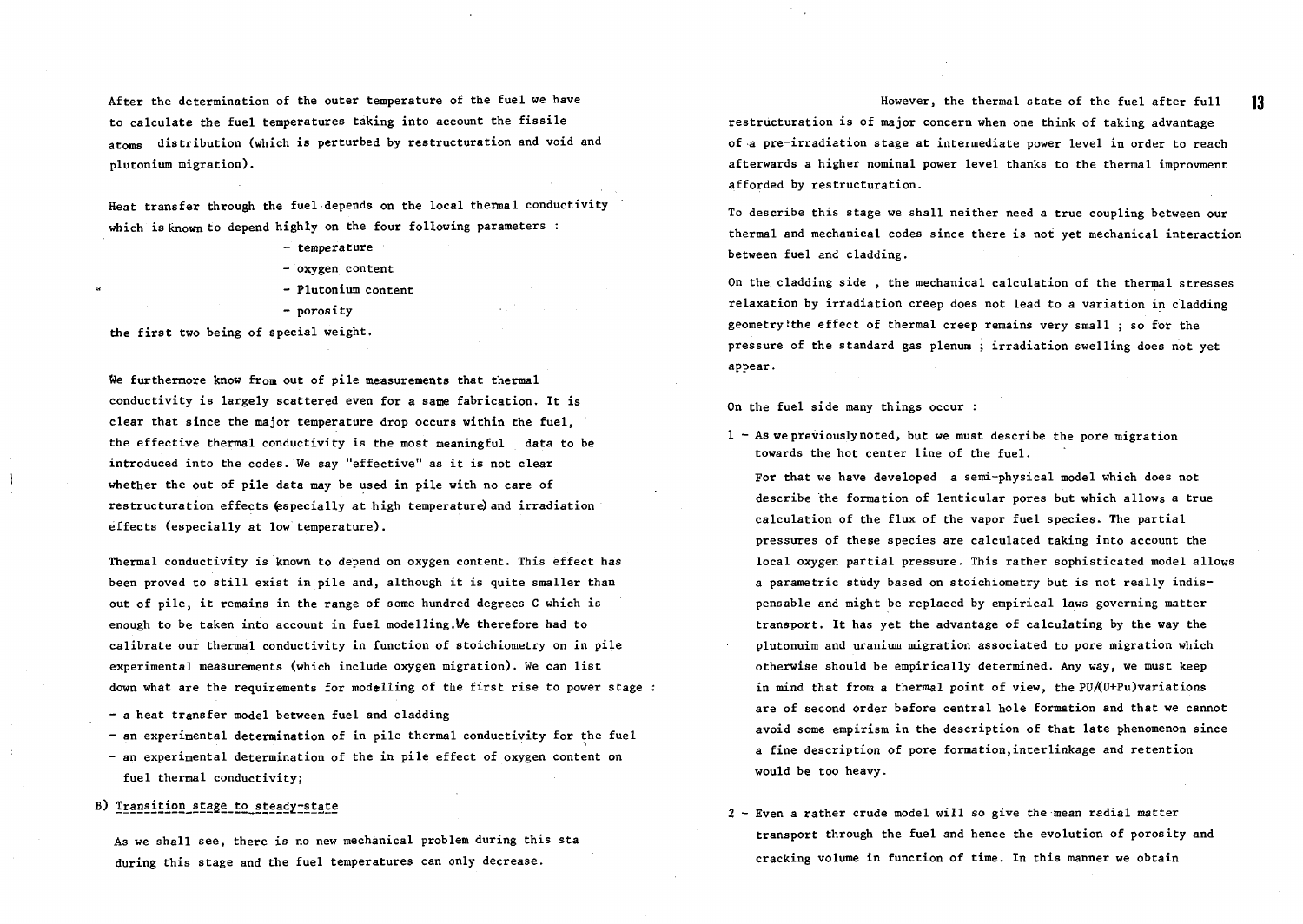After the determination of the outer temperature of the fuel we have to calculate the fuel temperatures taking into account the fissile atoms distribution (which is perturbed by restructuration and void and plutonium migration).

Heat transfer through the fuel depends on the local thermal conductivity which is known to depend highly on the four following parameters :

- temperature
- oxygen content
- Plutonium content
- porosity

the first two being of special weight.

We furthermore know from out of pile measurements that thermal conductivity is largely scattered even for a same fabrication. It is clear that since the major temperature drop occurs within the fuel, the effective thermal conductivity is the most meaningful data to be introduced into the codes. We say "effective" as it is not clear whether the out of pile data may be used in pile with no care of restructuration effects (especially at high temperature) and irradiation effects (especially at low temperature).

Thermal conductivity is known to depend on oxygen content. This effect has been proved to still exist in pile and, although it is quite smaller than out of pile, it remains in the range of some hundred degrees C which is enough to be taken into account in fuel modelling.l/e therefore had to calibrate our thermal conductivity in function of stoichiometry on in pile experimental measurements (which include oxygen migration). We can list down what are the requirements for modelling of the first rise to power stage:

- a heat transfer model between fuel and cladding

- an experimental determination of in pile thermal conductivity for the fuel

- an experimental determination of the in pile effect of oxygen content on fuel thermal conductivity;

### B) Transition stage to steady-state

As we shall see, there is no new mechanical problem during this sta during this stage and the fuel temperatures can only decrease.

However, the thermal state of the fuel after full restructuration is of major concern when one think of taking advantage of a pre-irradiation stage at intermediate power level in order to reach afterwards a higher nominal power level thanks to the thermal improvment afforded by restructuration.

To describe this stage we shall neither need a true coupling between our thermal and mechanical codes since there is not yet mechanical interaction between fuel and cladding.

On the cladding side , the mechanical calculation of the thermal stresses relaxation by irradiation creep does not lead to a variation in cladding geometryithe effect of thermal creep remains very small ; so for the pressure of the standard gas plenum ; irradiation swelling does not yet appear.

On the fuel side many things occur :

 $1 - As$  we previously noted, but we must describe the pore migration towards the hot center line of the fuel.

For that we have developed a semi-physical model which does not describe the formation of lenticular pores but which allows a true calculation of the flux of the vapor fuel species. The partial pressures of these species are calculated taking into account the local oxygen partial pressure. This rather sophisticated model allows a parametric study based on stoichiometry but is not really indispensable and might be replaced by empirical laws governing matter transport. It has yet the advantage of calculating by the way the plutonuim and uranium migration associated to pore migration which otherwise should be empirically determined. Any way, we must keep in mind that from a thermal point of view, the PU/(U+Pu)variations are of second order before central hole formation and that we cannot avoid some empirism in the description of that late phenomenon since a fine description of pore formation,interlinkage and retention would be too heavy.

2 - Even a rather crude model will so give the mean radial matter transport through the fuel and hence the evolution of porosity and cracking volume in function of time. In this manner we obtain

13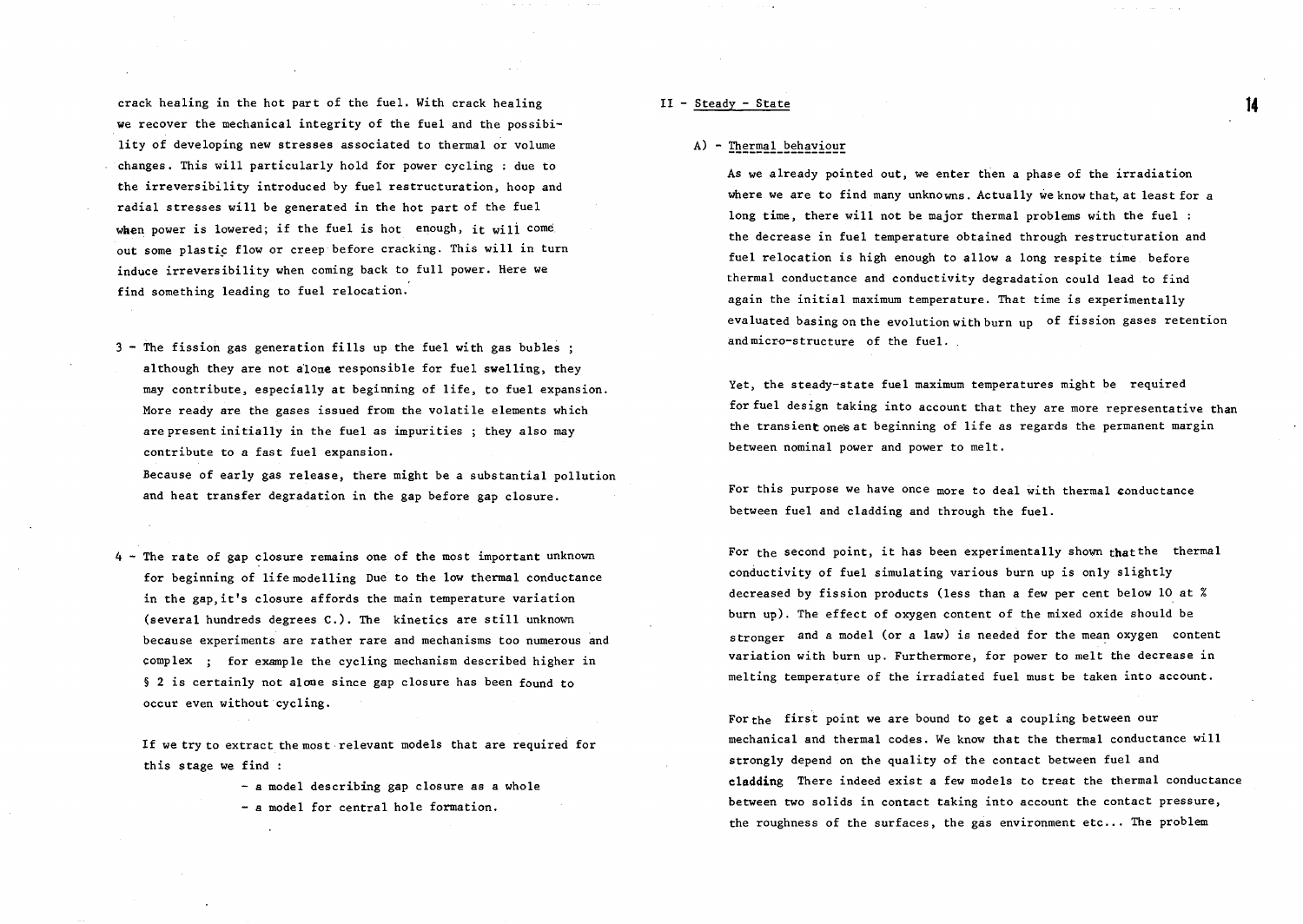crack healing in the hot part of the fuel. With crack healing we recover the mechanical integrity of the fuel and the possibility of developing new stresses associated to thermal or volume changes. This will particularly hold for power cycling : due to the irreversibility introduced by fuel restructuration, hoop and radial stresses will be generated in the hot part of the fuel when power is lowered; if the fuel is hot enough, it will come out some plastic flow or creep before cracking. This will in turn induce irreversibility when coming back to full power. Here we find something leading to fuel relocation.

3 - The fission gas generation fills up the fuel with gas bubles ; although they are not alone responsible for fuel swelling, they may contribute, especially at beginning of life, to fuel expansion. More ready are the gases issued from the volatile elements which are present initially in the fuel as impurities ; they also may contribute to a fast fuel expansion.

Because of early gas release, there might be a substantial pollution and heat transfer degradation in the gap before gap closure.

4 - The rate of gap closure remains one of the most important unknown for beginning of life modelling Due to the low thermal conductance in the gap,it's closure affords the main temperature variation (several hundreds degrees C.). The kinetics are still unknown because experiments are rather rare and mechanisms too numerous and complex ; for example the cycling mechanism described higher in § 2 is certainly not alone since gap closure has been found to occur even without cycling.

If we try to extract the most relevant models that are required for this stage we find :

- a model describing gap closure as a whole
- a model for central hole formation.

#### II - Steady - State

#### A) - Thermal behaviour

As we already pointed out, we enter then a phase of the irradiation where we are to find many unknowns. Actually we know that, at least for a long time, there will not be major thermal problems with the fuel : the decrease in fuel temperature obtained through restructuration and fuel relocation is high enough to allow a long respite time before thermal conductance and conductivity degradation could lead to find again the initial maximum temperature. That time is experimentally evaluated basing on the evolution with burn up of fission gases retention and micro-structure of the fuel.

Yet, the steady-state fuel maximum temperatures might be required for fuel design taking into account that they are more representative than the transient ones at beginning of life as regards the permanent margin between nominal power and power to melt,

For this purpose we have once more to deal with thermal conductance between fuel and cladding and through the fuel.

For the second point, it has been experimentally shown that the thermal conductivity of fuel simulating various burn up is only slightly decreased by fission products (less than a few per cent below 10 at % burn up). The effect of oxygen content of the mixed oxide should be stronger and a model (or a law) is needed for the mean oxygen content variation with burn up. Furthermore, for power to melt the decrease in melting temperature of the irradiated fuel must be taken into account.

For the first point we are bound to get a coupling between our mechanical and thermal codes. We know that the thermal conductance will strongly depend on the quality of the contact between fuel and cladding There indeed exist a few models to treat the thermal conductance between two solids in contact taking into account the contact pressure, the roughness of the surfaces, the gas environment  $etc...$  The problem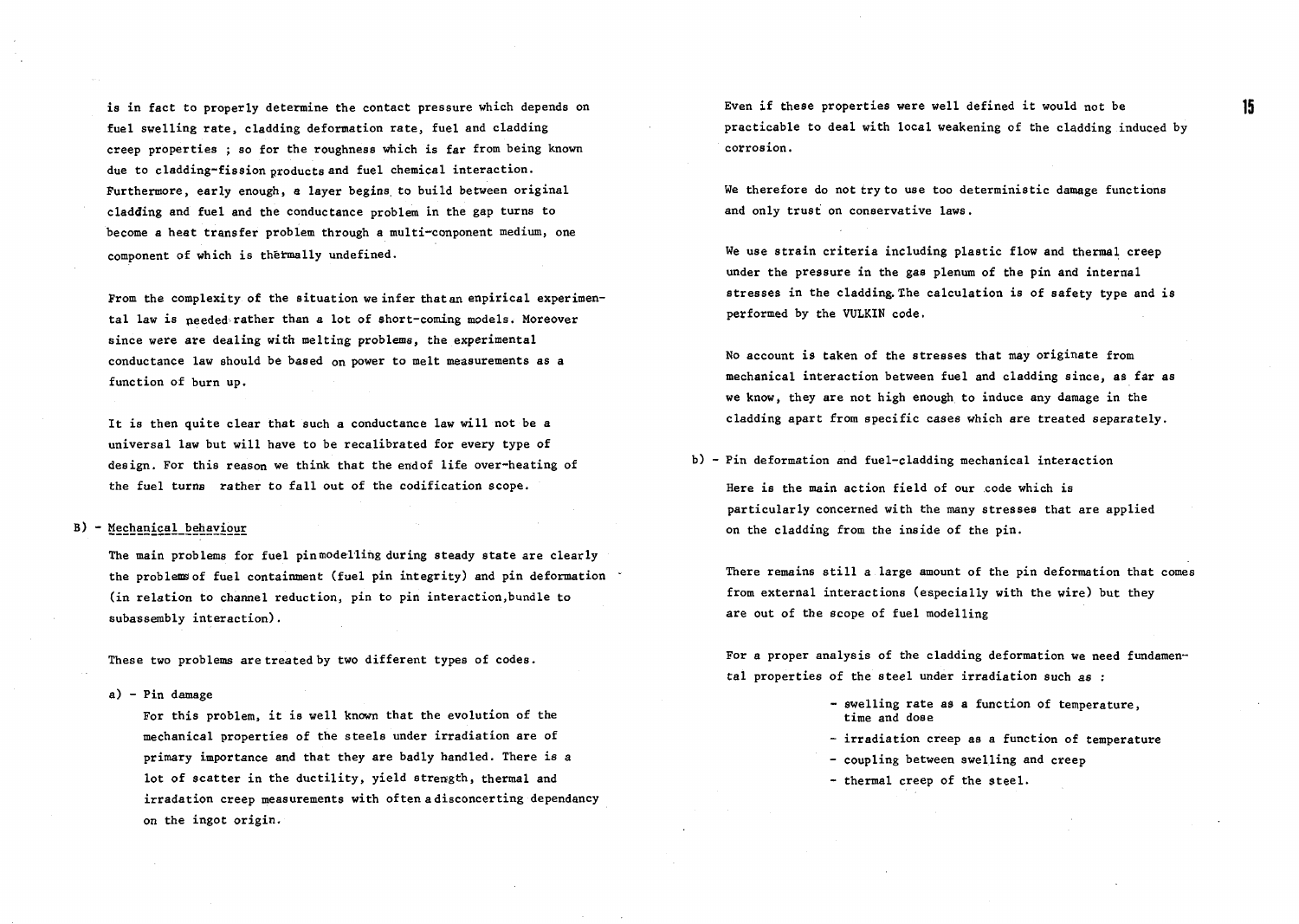is in fact to properly determine the contact pressure which depends on fuel swelling rate, cladding deformation rate, fuel and cladding creep properties ; so for the roughness which is far from being known due to cladding-fission products and fuel chemical interaction. Furthermore, early enough, a layer begins, to build between original cladding and fuel and the conductance problem in the gap turns to become a heat transfer problem through a multi-conponent medium, one component of which is thermally undefined.

From the complexity of the situation we infer that an enpirical experimental law is needed-rather than a lot of short-coming models. Moreover since were are dealing with melting problems, the experimental conductance law should be based on power to melt measurements as a function of burn up.

It is then quite clear that such a conductance law will not be a universal law but will have to be recalibrated for every type of design. For this reason we think that the endof life over-heating of the fuel turns rather to fall out of the codification scope.

## B) - Mechanical\_behaviour

The main problems for fuel pin model ling during steady state are clearly the problems of fuel containment (fuel pin integrity) and pin deformation (in relation to channel reduction, pin to pin interaction.bundle to subassembly interaction).

These two problems are treated by two different types of codes.

a) - Pin damage

For this problem, it is well known that the evolution of the mechanical properties of the steels under irradiation are of primary importance and that they are badly handled. There is a lot of scatter in the ductility, yield strength, thermal and irradation creep measurements with often a disconcerting dependancy on the ingot origin.

Even if these properties were well defined it would not be practicable to deal with local weakening of the cladding induced by corrosion.

We therefore do not try to use too deterministic damage functions and only trust on conservative laws.

We use strain criteria including plastic flow and thermal creep under the pressure in the gas plenum of the pin and internal stresses in the cladding. The calculation is of safety type and is performed by the VULKIN code.

No account is taken of the stresses that may originate from mechanical interaction between fuel and cladding since, as far as we know, they are not high enough to induce any damage in the cladding apart from specific cases which are treated separately.

b) - Pin deformation and fuel-cladding mechanical interaction

Here is the main action field of our code which is particularly concerned with the many stresses that are applied on the cladding from the inside of the pin.

There remains still a large amount of the pin deformation that comes from external interactions (especially with the wire) but they are out of the scope of fuel modelling

For a proper analysis of the cladding deformation we need fundamental properties of the steel under irradiation such as :

- swelling rate as a function of temperature, time and dose
- irradiation creep as a function of temperature
- coupling between swelling and creep
- thermal creep of the steel.